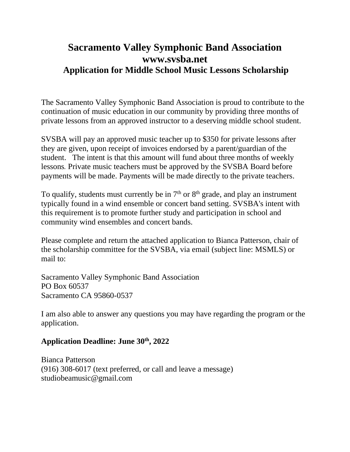# **Sacramento Valley Symphonic Band Association www.svsba.net Application for Middle School Music Lessons Scholarship**

The Sacramento Valley Symphonic Band Association is proud to contribute to the continuation of music education in our community by providing three months of private lessons from an approved instructor to a deserving middle school student.

SVSBA will pay an approved music teacher up to \$350 for private lessons after they are given, upon receipt of invoices endorsed by a parent/guardian of the student. The intent is that this amount will fund about three months of weekly lessons*.* Private music teachers must be approved by the SVSBA Board before payments will be made. Payments will be made directly to the private teachers.

To qualify, students must currently be in  $7<sup>th</sup>$  or  $8<sup>th</sup>$  grade, and play an instrument typically found in a wind ensemble or concert band setting. SVSBA's intent with this requirement is to promote further study and participation in school and community wind ensembles and concert bands.

Please complete and return the attached application to Bianca Patterson, chair of the scholarship committee for the SVSBA, via email (subject line: MSMLS) or mail to:

Sacramento Valley Symphonic Band Association PO Box 60537 Sacramento CA 95860-0537

I am also able to answer any questions you may have regarding the program or the application.

### **Application Deadline: June 30 th , 2022**

Bianca Patterson (916) 308-6017 (text preferred, or call and leave a message) studiobeamusic@gmail.com